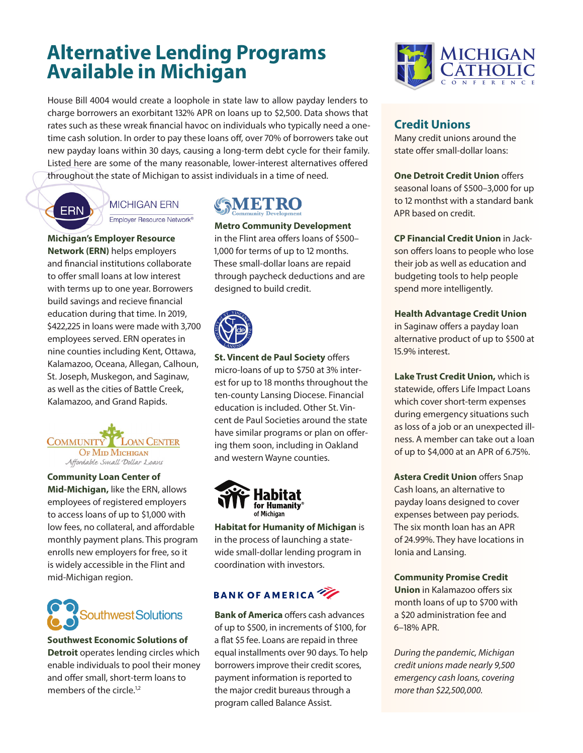## **Alternative Lending Programs Available in Michigan**

House Bill 4004 would create a loophole in state law to allow payday lenders to charge borrowers an exorbitant 132% APR on loans up to \$2,500. Data shows that rates such as these wreak financial havoc on individuals who typically need a onetime cash solution. In order to pay these loans off, over 70% of borrowers take out new payday loans within 30 days, causing a long-term debt cycle for their family. Listed here are some of the many reasonable, lower-interest alternatives offered throughout the state of Michigan to assist individuals in a time of need.



### **MICHIGAN ERN**

Employer Resource Network<sup>®</sup>

**Michigan's Employer Resource Network (ERN)** helps employers and financial institutions collaborate to offer small loans at low interest with terms up to one year. Borrowers build savings and recieve financial education during that time. In 2019, \$422,225 in loans were made with 3,700 employees served. ERN operates in nine counties including Kent, Ottawa, Kalamazoo, Oceana, Allegan, Calhoun, St. Joseph, Muskegon, and Saginaw, as well as the cities of Battle Creek, Kalamazoo, and Grand Rapids.



**Community Loan Center of Mid-Michigan,** like the ERN, allows employees of registered employers to access loans of up to \$1,000 with low fees, no collateral, and affordable monthly payment plans. This program enrolls new employers for free, so it is widely accessible in the Flint and mid-Michigan region.



**Southwest Economic Solutions of Detroit** operates lending circles which enable individuals to pool their money and offer small, short-term loans to members of the circle.<sup>1,2</sup>

# **AETRO**

**Metro Community Development** in the Flint area offers loans of \$500– 1,000 for terms of up to 12 months. These small-dollar loans are repaid through paycheck deductions and are designed to build credit.



**St. Vincent de Paul Society** offers micro-loans of up to \$750 at 3% interest for up to 18 months throughout the ten-county Lansing Diocese. Financial education is included. Other St. Vincent de Paul Societies around the state have similar programs or plan on offering them soon, including in Oakland and western Wayne counties.



**Habitat for Humanity of Michigan** is in the process of launching a statewide small-dollar lending program in coordination with investors.

### **BANK OF AMERICA**

**Bank of America** offers cash advances of up to \$500, in increments of \$100, for a flat \$5 fee. Loans are repaid in three equal installments over 90 days. To help borrowers improve their credit scores, payment information is reported to the major credit bureaus through a program called Balance Assist.



### **Credit Unions**

Many credit unions around the state offer small-dollar loans:

**One Detroit Credit Union** offers seasonal loans of \$500–3,000 for up to 12 monthst with a standard bank APR based on credit.

**CP Financial Credit Union** in Jackson offers loans to people who lose their job as well as education and budgeting tools to help people spend more intelligently.

**Health Advantage Credit Union** in Saginaw offers a payday loan alternative product of up to \$500 at 15.9% interest.

**Lake Trust Credit Union,** which is statewide, offers Life Impact Loans which cover short-term expenses during emergency situations such as loss of a job or an unexpected illness. A member can take out a loan of up to \$4,000 at an APR of 6.75%.

**Astera Credit Union** offers Snap Cash loans, an alternative to payday loans designed to cover expenses between pay periods. The six month loan has an APR of 24.99%. They have locations in Ionia and Lansing.

**Community Promise Credit Union** in Kalamazoo offers six month loans of up to \$700 with a \$20 administration fee and 6–18% APR.

*During the pandemic, Michigan credit unions made nearly 9,500 emergency cash loans, covering more than \$22,500,000.*